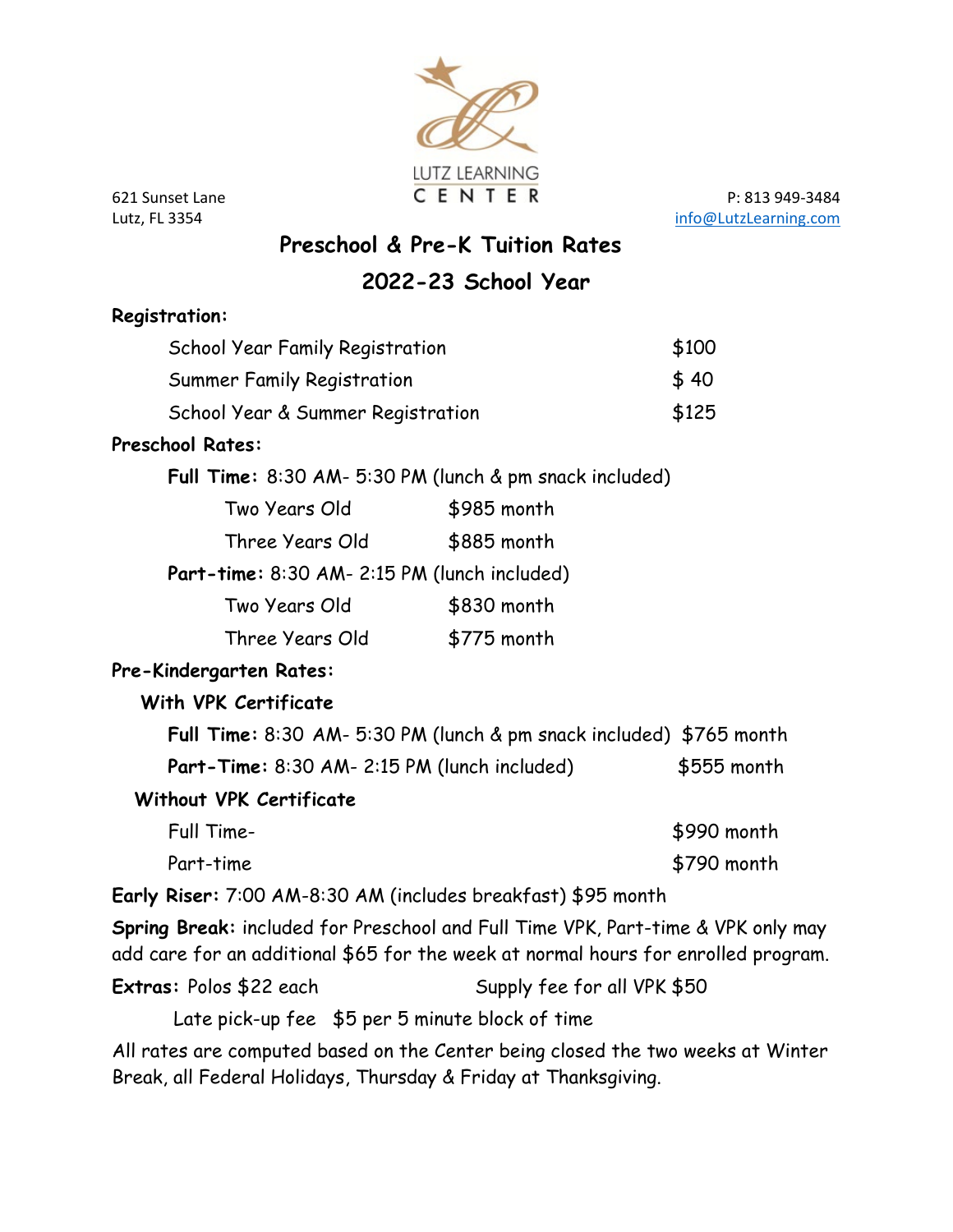

621 Sunset Lane C E N T E R P: 813 949-3484 Lutz, FL 3354 [info@LutzLearning.com](mailto:info@LutzLearning.com)

# **Preschool & Pre-K Tuition Rates**

### **2022-23 School Year**

| <b>Registration:</b>                                                                                                                                                   |                             |             |
|------------------------------------------------------------------------------------------------------------------------------------------------------------------------|-----------------------------|-------------|
| <b>School Year Family Registration</b>                                                                                                                                 |                             | \$100       |
| Summer Family Registration                                                                                                                                             |                             | \$40        |
| School Year & Summer Registration                                                                                                                                      |                             | \$125       |
| <b>Preschool Rates:</b>                                                                                                                                                |                             |             |
| Full Time: 8:30 AM- 5:30 PM (lunch & pm snack included)                                                                                                                |                             |             |
| Two Years Old                                                                                                                                                          | \$985 month                 |             |
| Three Years Old                                                                                                                                                        | \$885 month                 |             |
| Part-time: 8:30 AM- 2:15 PM (lunch included)                                                                                                                           |                             |             |
| Two Years Old                                                                                                                                                          | \$830 month                 |             |
| Three Years Old                                                                                                                                                        | \$775 month                 |             |
| Pre-Kindergarten Rates:                                                                                                                                                |                             |             |
| With VPK Certificate                                                                                                                                                   |                             |             |
| Full Time: 8:30 AM- 5:30 PM (lunch & pm snack included) \$765 month                                                                                                    |                             |             |
| Part-Time: 8:30 AM- 2:15 PM (lunch included)                                                                                                                           |                             | \$555 month |
| <b>Without VPK Certificate</b>                                                                                                                                         |                             |             |
| Full Time-                                                                                                                                                             |                             | \$990 month |
| Part-time                                                                                                                                                              |                             | \$790 month |
| Early Riser: 7:00 AM-8:30 AM (includes breakfast) \$95 month                                                                                                           |                             |             |
| Spring Break: included for Preschool and Full Time VPK, Part-time & VPK only may<br>add care for an additional \$65 for the week at normal hours for enrolled program. |                             |             |
| Extras: Polos \$22 each                                                                                                                                                | Supply fee for all VPK \$50 |             |
| Late pick-up fee \$5 per 5 minute block of time                                                                                                                        |                             |             |

All rates are computed based on the Center being closed the two weeks at Winter Break, all Federal Holidays, Thursday & Friday at Thanksgiving.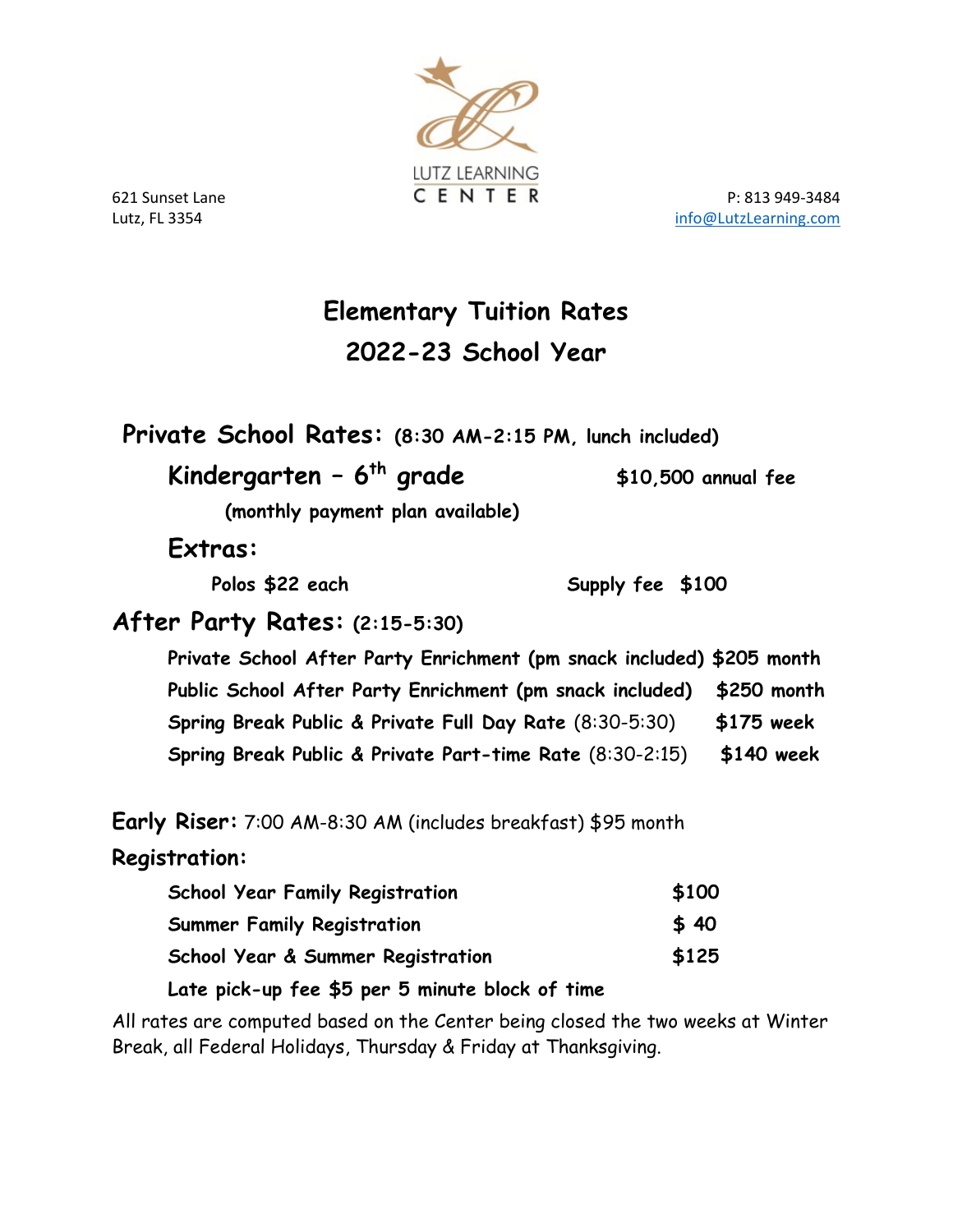

621 Sunset Lane **CENTER** P: 813 949-3484 Lutz, FL 3354 [info@LutzLearning.com](mailto:info@LutzLearning.com)

# **Elementary Tuition Rates 2022-23 School Year**

**Private School Rates: (8:30 AM-2:15 PM, lunch included)**

## **Kindergarten – 6th grade \$10,500 annual fee**

 **(monthly payment plan available)**

 **Extras:** 

Polos \$22 each Supply fee \$100

#### **After Party Rates: (2:15-5:30)**

**Private School After Party Enrichment (pm snack included) \$205 month Public School After Party Enrichment (pm snack included) \$250 month Spring Break Public & Private Full Day Rate** (8:30-5:30) **\$175 week Spring Break Public & Private Part-time Rate** (8:30-2:15) **\$140 week**

**Early Riser:** 7:00 AM-8:30 AM (includes breakfast) \$95 month

#### **Registration:**

| <b>School Year Family Registration</b>          | \$100 |
|-------------------------------------------------|-------|
| <b>Summer Family Registration</b>               | \$40  |
| School Year & Summer Registration               | \$125 |
| Late pick-up fee \$5 per 5 minute block of time |       |

All rates are computed based on the Center being closed the two weeks at Winter Break, all Federal Holidays, Thursday & Friday at Thanksgiving.